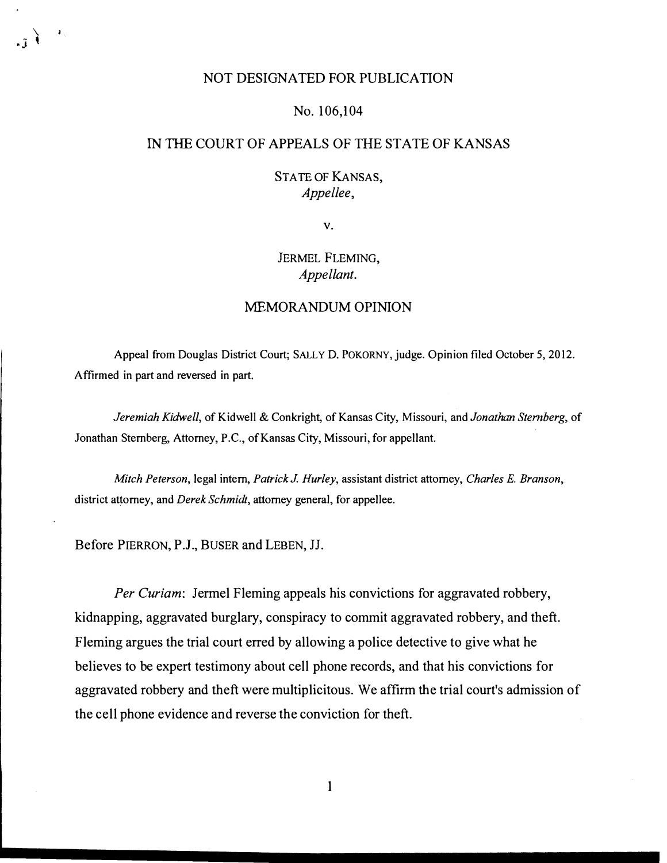### NOT DESIGNATED FOR PUBLICATION

#### No. 106,104

## IN THE COURT OF APPEALS OF THE STATE OF KANSAS

# STATE OF KANSAS, Appellee,

v.

# JERMEL FLEMING, Appellant.

### MEMORANDUM OPINION

Appeal from Douglas District Court; SALLY D. POKORNY, judge. Opinion filed October 5, 2012. Affirmed in part and reversed in part.

Jeremiah Kidwell, of Kidwell & Conkright, of Kansas City, Missouri, and Jonathan Sternberg, of Jonathan Sternberg, Attorney, P.C., of Kansas City, Missouri, for appellant.

Mitch Peterson, legal intern, Patrick J. Hurley, assistant district attorney, Charles E. Branson, district attorney, and *Derek Schmidt*, attorney general, for appellee.

Before PIERRON, P.J., BUSER and LEBEN, JJ.

 $\setminus$  $\mathbf{J} \cdot \mathbf{J}$ 

> Per Curiam: Jermel Fleming appeals his convictions for aggravated robbery, kidnapping, aggravated burglary, conspiracy to commit aggravated robbery, and theft. Fleming argues the trial court erred by allowing a police detective to give what he believes to be expert testimony about cell phone records, and that his convictions for aggravated robbery and theft were multiplicitous. We affirm the trial court's admission of the cell phone evidence and reverse the conviction for theft.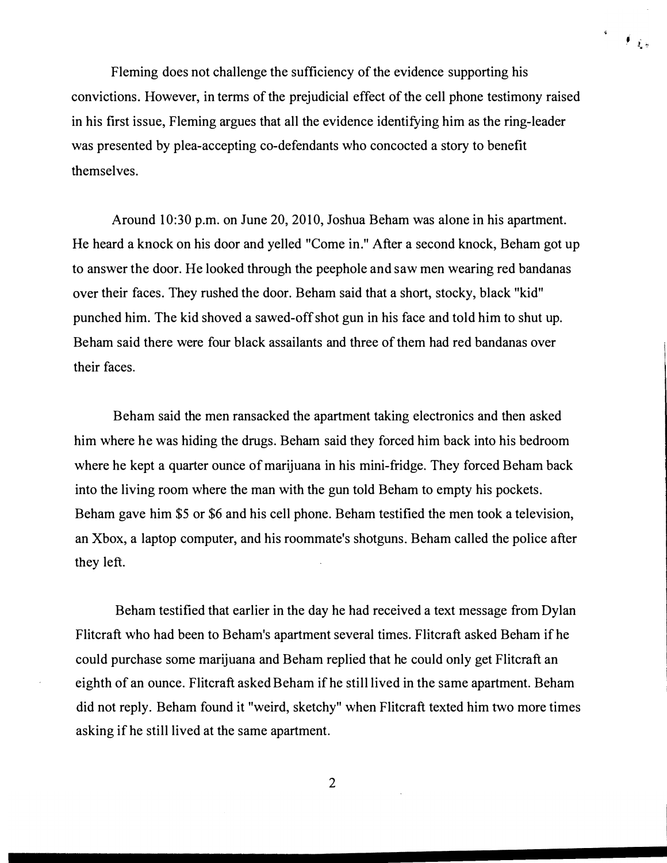Fleming does not challenge the sufficiency of the evidence supporting his convictions. However, in terms of the prejudicial effect of the cell phone testimony raised in his first issue, Fleming argues that all the evidence identifying him as the ring-leader was presented by plea-accepting co-defendants who concocted a story to benefit themselves.

 $\int_{\mathbb{R}^d} \frac{1}{\vert \mathbf{r}_\mu \vert}$ 

Around 10:30 p.m. on June 20, 2010, Joshua Beham was alone in his apartment. He heard a knock on his door and yelled "Come in." After a second knock, Beham got up to answer the door. He looked through the peephole and saw men wearing red bandanas over their faces. They rushed the door. Beham said that a short, stocky, black "kid" punched him. The kid shoved a sawed-off shot gun in his face and told him to shut up. Be ham said there were four black assailants and three of them had red bandanas over their faces.

Beham said the men ransacked the apartment taking electronics and then asked him where he was hiding the drugs. Beham said they forced him back into his bedroom where he kept a quarter ounce of marijuana in his mini-fridge. They forced Beham back into the living room where the man with the gun told Beham to empty his pockets. Beham gave him \$5 or \$6 and his cell phone. Beham testified the men took a television, an Xbox, a laptop computer, and his roommate's shotguns. Beham called the police after they left.

Beham testified that earlier in the day he had received a text message from Dylan Flitcraft who had been to Beham's apartment several times. Flitcraft asked Beham if he could purchase some marijuana and Beham replied that he could only get Flitcraft an eighth of an ounce. Flitcraft asked Beham if he still lived in the same apartment. Beham did not reply. Beham found it "weird, sketchy" when Flitcraft texted him two more times asking if he still lived at the same apartment.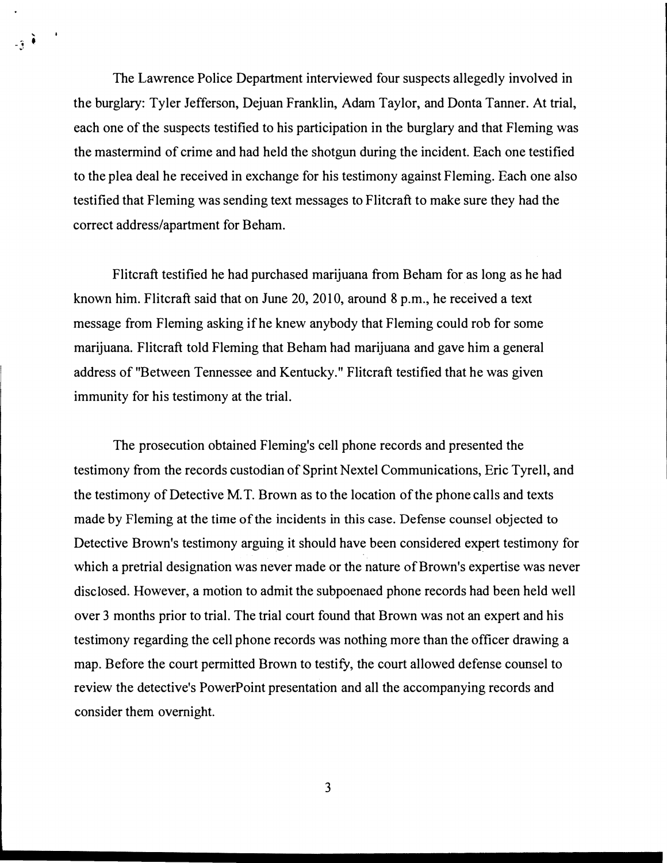The Lawrence Police Department interviewed four suspects allegedly involved in the burglary: Tyler Jefferson, Dejuan Franklin, Adam Taylor, and Donta Tanner. At trial, each one of the suspects testified to his participation in the burglary and that Fleming was the mastermind of crime and had held the shotgun during the incident. Each one testified to the plea deal he received in exchange for his testimony against Fleming. Each one also testified that Fleming was sending text messages to Flitcraft to make sure they had the correct address/apartment for Beham.

 $-3<sup>2</sup>$ 

Flitcraft testified he had purchased marijuana from Beham for as long as he had known him. Flitcraft said that on June 20, 2010, around 8 p.m., he received a text message from Fleming asking if he knew anybody that Fleming could rob for some marijuana. Flitcraft told Fleming that Beham had marijuana and gave him a general address of"Between Tennessee and Kentucky." Flitcraft testified that he was given immunity for his testimony at the trial.

The prosecution obtained Fleming's cell phone records and presented the testimony from the records custodian of Sprint Nextel Communications, Eric Tyrell, and the testimony of Detective M.T. Brown as to the location of the phone calls and texts made by Fleming at the time of the incidents in this case. Defense counsel objected to Detective Brown's testimony arguing it should have been considered expert testimony for which a pretrial designation was never made or the nature of Brown's expertise was never disclosed. However, a motion to admit the subpoenaed phone records had been held well over 3 months prior to trial. The trial court found that Brown was not an expert and his testimony regarding the cell phone records was nothing more than the officer drawing a map. Before the court permitted Brown to testify, the court allowed defense counsel to review the detective's PowerPoint presentation and all the accompanying records and consider them overnight.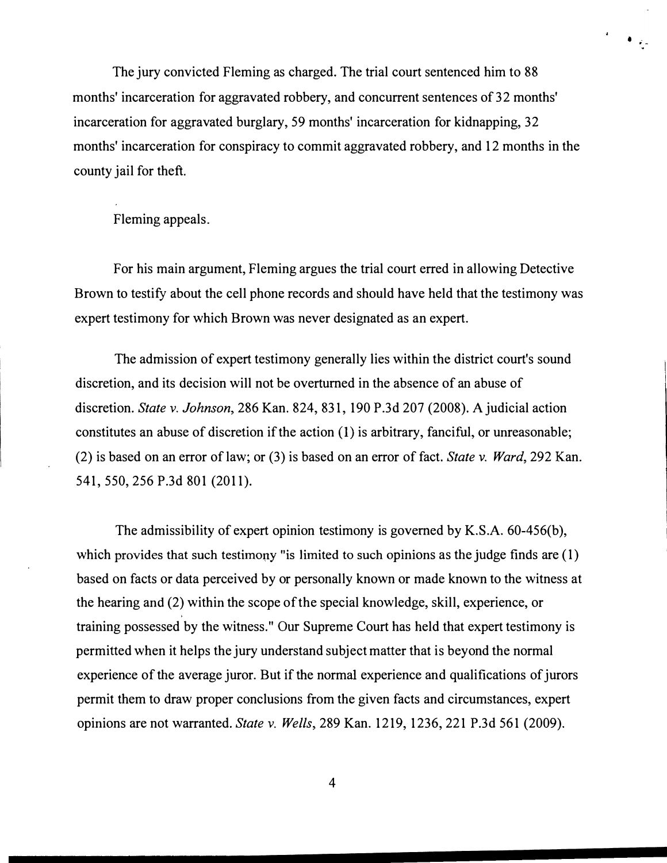The jury convicted Fleming as charged. The trial court sentenced him to 88 months' incarceration for aggravated robbery, and concurrent sentences of 32 months' incarceration for aggravated burglary, 59 months' incarceration for kidnapping, 32 months' incarceration for conspiracy to commit aggravated robbery, and 12 months in the county jail for theft.

 $\bullet$  .

Fleming appeals.

For his main argument, Fleming argues the trial court erred in allowing Detective Brown to testify about the cell phone records and should have held that the testimony was expert testimony for which Brown was never designated as an expert.

The admission of expert testimony generally lies within the district court's sound discretion, and its decision will not be overturned in the absence of an abuse of discretion. State v. Johnson, 286 Kan. 824, 831, 190 P.3d 207 (2008). A judicial action constitutes an abuse of discretion if the action (I) is arbitrary, fanciful, or unreasonable; (2) is based on an error of law; or (3) is based on an error of fact. State v. Ward, 292 Kan. 541, 550, 256 P.3d 801 (2011).

The admissibility of expert opinion testimony is governed by K.S.A. 60-456(b), which provides that such testimony "is limited to such opinions as the judge finds are (1) based on facts or data perceived by or personally known or made known to the witness at the hearing and (2) within the scope of the special knowledge, skill, experience, or training possessed by the witness." Our Supreme Court has held that expert testimony is permitted when it helps the jury understand subject matter that is beyond the normal experience of the average juror. But if the normal experience and qualifications of jurors permit them to draw proper conclusions from the given facts and circumstances, expert opinions are not warranted. State v. Wells, 289 Kan. 1219, 1236,221 P.3d 561 (2009).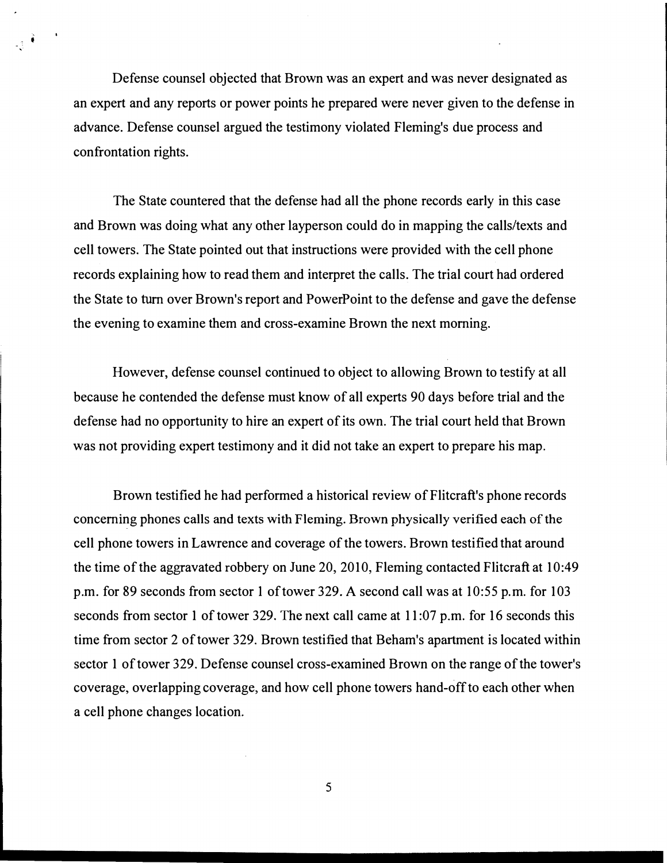Defense counsel objected that Brown was an expert and was never designated as an expert and any reports or power points he prepared were never given to the defense in advance. Defense counsel argued the testimony violated Fleming's due process and confrontation rights.

The State countered that the defense had all the phone records early in this case and Brown was doing what any other layperson could do in mapping the calls/texts and cell towers. The State pointed out that instructions were provided with the cell phone records explaining how to read them and interpret the calls. The trial court had ordered the State to turn over Brown's report and PowerPoint to the defense and gave the defense the evening to examine them and cross-examine Brown the next morning.

However, defense counsel continued to object to allowing Brown to testify at all because he contended the defense must know of all experts 90 days before trial and the defense had no opportunity to hire an expert of its own. The trial court held that Brown was not providing expert testimony and it did not take an expert to prepare his map.

Brown testified he had performed a historical review of Flitcraft's phone records concerning phones calls and texts with Fleming. Brown physically verified each of the cell phone towers in Lawrence and coverage of the towers. Brown testified that around the time of the aggravated robbery on June 20, 2010, Fleming contacted Flitcraft at 10:49 p.m. for 89 seconds from sector 1 of tower 329. A second call was at 10:55 p.m. for 103 seconds from sector 1 of tower 329. The next call came at 11:07 p.m. for 16 seconds this time from sector 2 of tower 329. Brown testified that Beham's apartment is located within sector 1 of tower 329. Defense counsel cross-examined Brown on the range of the tower's coverage, overlapping coverage, and how cell phone towers hand-off to each other when a cell phone changes location.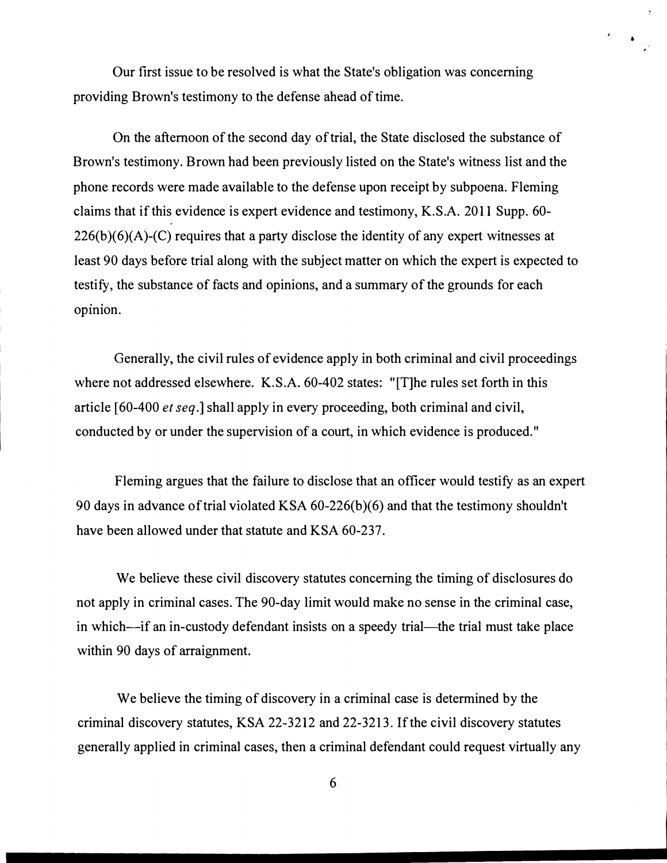Our first issue to be resolved is what the State's obligation was concerning providing Brown's testimony to the defense ahead of time.

&

 $\pmb{\cdot}$ 

On the afternoon of the second day of trial, the State disclosed the substance of Brown's testimony. Brown had been previously listed on the State's witness list and the phone records were made available to the defense upon receipt by subpoena. Fleming claims that if this evidence is expert evidence and testimony, K.S.A. 2011 Supp. 60-  $226(b)(6)(A)-(C)$  requires that a party disclose the identity of any expert witnesses at least 90 days before trial along with the subject matter on which the expert is expected to testify, the substance of facts and opinions, and a summary of the grounds for each opinion.

Generally, the civil rules of evidence apply in both criminal and civil proceedings where not addressed elsewhere. K.S.A. 60-402 states: "[T]he rules set forth in this article [60-400 et seq.] shall apply in every proceeding, both criminal and civil, conducted by or under the supervision of a court, in which evidence is produced."

Fleming argues that the failure to disclose that an officer would testify as an expert 90 days in advance of trial violated KSA 60-226(b)(6) and that the testimony shouldn't have been allowed under that statute and KSA 60-237.

We believe these civil discovery statutes concerning the timing of disclosures do not apply in criminal cases. The 90-day limit would make no sense in the criminal case, in which--if an in-custody defendant insists on a speedy trial----the trial must take place within 90 days of arraignment.

We believe the timing of discovery in a criminal case is determined by the criminal discovery statutes, KSA 22-3212 and 22-3213. If the civil discovery statutes generally applied in criminal cases, then a criminal defendant could request virtually any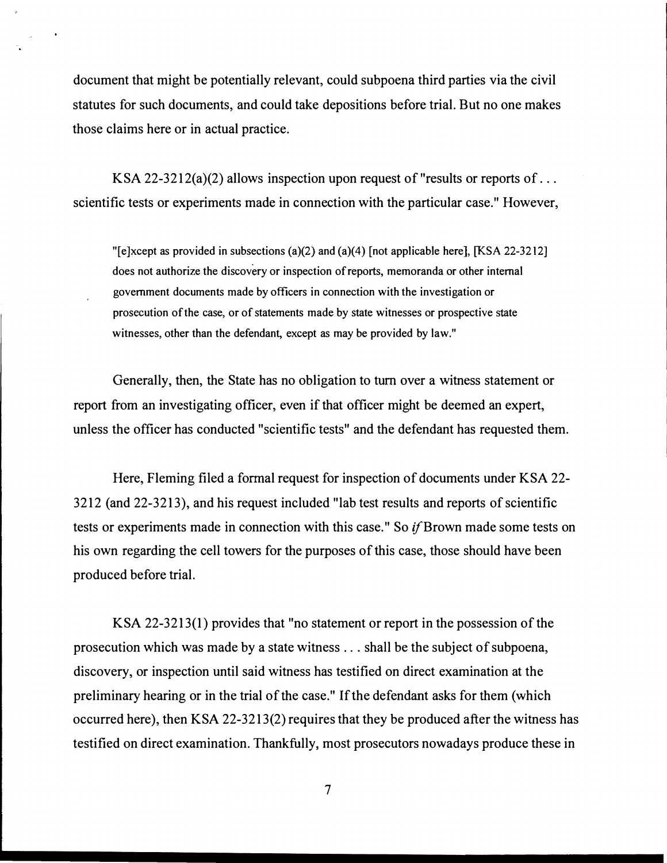document that might be potentially relevant, could subpoena third parties via the civil statutes for such documents, and could take depositions before trial. But no one makes those claims here or in actual practice.

KSA 22-3212(a)(2) allows inspection upon request of "results or reports of ... scientific tests or experiments made in connection with the particular case." However,

"[e]xcept as provided in subsections (a)(2) and (a)(4) [not applicable here], [KSA 22-3212] does not authorize the discovery or inspection of reports, memoranda or other internal government documents made by officers in connection with the investigation or prosecution of the case, or of statements made by state witnesses or prospective state witnesses, other than the defendant, except as may be provided by law."

Generally, then, the State has no obligation to tum over a witness statement or report from an investigating officer, even if that officer might be deemed an expert, unless the officer has conducted "scientific tests" and the defendant has requested them.

Here, Fleming filed a formal request for inspection of documents under KSA 22- 3212 (and 22-3213), and his request included "lab test results and reports of scientific tests or experiments made in connection with this case." So if Brown made some tests on his own regarding the cell towers for the purposes of this case, those should have been produced before trial.

KSA 22-3213(1) provides that "no statement or report in the possession of the prosecution which was made by a state witness ... shall be the subject of subpoena, discovery, or inspection until said witness has testified on direct examination at the preliminary hearing or in the trial of the case." If the defendant asks for them (which occurred here), then KSA 22-3213(2) requires that they be produced after the witness has testified on direct examination. Thankfully, most prosecutors nowadays produce these in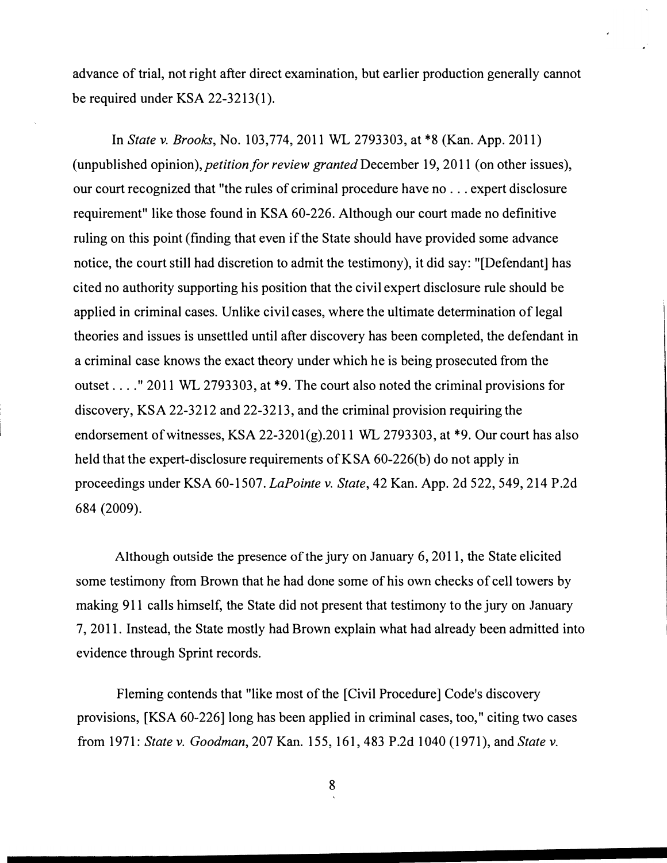advance of trial, not right after direct examination, but earlier production generally cannot be required under KSA 22-3213(1).

In State v. Brooks, No. 103,774, 2011 WL 2793303, at \*8 (Kan. App. 2011) (unpublished opinion), petition for review granted December 19, 2011 (on other issues), our court recognized that "the rules of criminal procedure have no . . . expert disclosure requirement" like those found in KSA 60-226. Although our court made no definitive ruling on this point (finding that even if the State should have provided some advance notice, the court still had discretion to admit the testimony), it did say: "[Defendant] has cited no authority supporting his position that the civil expert disclosure rule should be applied in criminal cases. Unlike civil cases, where the ultimate determination of legal theories and issues is unsettled until after discovery has been completed, the defendant in a criminal case knows the exact theory under which he is being prosecuted from the outset .. .. " 2011 WL 2793303, at \*9. The court also noted the criminal provisions for discovery, KSA 22-3212 and 22-3213, and the criminal provision requiring the endorsement of witnesses, KSA 22-3201(g).2011 WL 2793303, at \*9. Our court has also held that the expert-disclosure requirements of K SA 60-226(b) do not apply in proceedings under KSA 60-1507. LaPointe v. State, 42 Kan. App. 2d 522, 549, 214 P.2d 684 (2009).

Although outside the presence of the jury on January 6, 2011, the State elicited some testimony from Brown that he had done some of his own checks of cell towers by making 911 calls himself, the State did not present that testimony to the jury on January 7, 2011. Instead, the State mostly had Brown explain what had already been admitted into evidence through Sprint records.

Fleming contends that "like most of the [Civil Procedure] Code's discovery provisions, [KSA 60-226] long has been applied in criminal cases, too," citing two cases from 1971: State v. Goodman, 207 Kan. 155, 161, 483 P.2d 1040 (1971), and State v.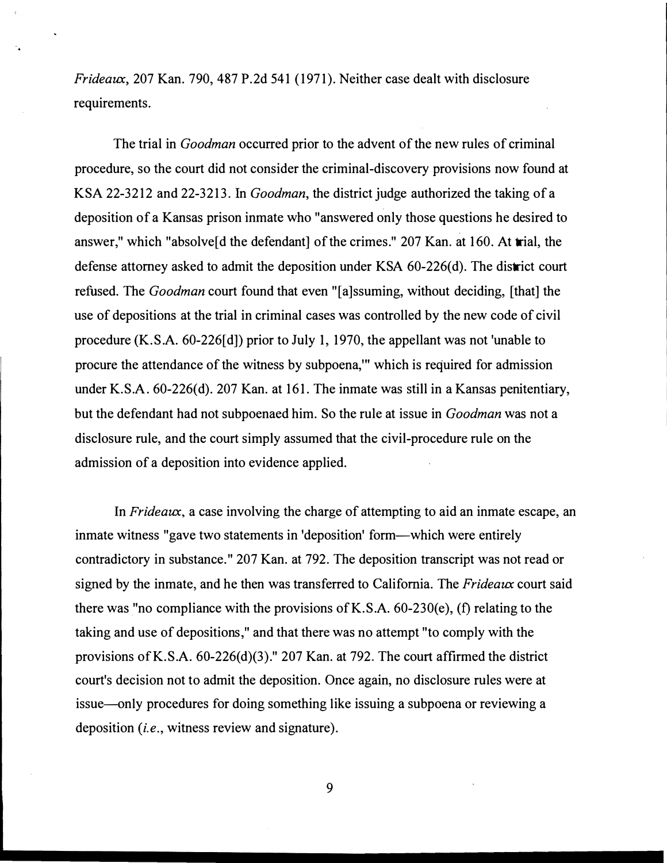$Frideaux$ , 207 Kan. 790, 487 P.2d 541 (1971). Neither case dealt with disclosure requirements.

The trial in *Goodman* occurred prior to the advent of the new rules of criminal procedure, so the court did not consider the criminal-discovery provisions now found at KSA 22-3212 and 22-3213. In Goodman, the district judge authorized the taking of a deposition of a Kansas prison inmate who "answered only those questions he desired to answer," which "absolve[d the defendant] of the crimes." 207 Kan. at 160. At trial, the defense attorney asked to admit the deposition under KSA 60-226(d). The district court refused. The Goodman court found that even "[a]ssuming, without deciding, [that] the use of depositions at the trial in criminal cases was controlled by the new code of civil procedure (K.S.A. 60-226[d]) prior to July 1, 1970, the appellant was not 'unable to procure the attendance of the witness by subpoena," which is required for admission under K.S.A. 60-226(d). 207 Kan. at 161. The inmate was still in a Kansas penitentiary, but the defendant had not subpoenaed him. So the rule at issue in Goodman was not a disclosure rule, and the court simply assumed that the civil-procedure rule on the admission of a deposition into evidence applied.

In Frideaux, a case involving the charge of attempting to aid an inmate escape, an inmate witness "gave two statements in 'deposition' form—which were entirely contradictory in substance. " 207 Kan. at 792. The deposition transcript was not read or signed by the inmate, and he then was transferred to California. The  $Friedeaux$  court said there was "no compliance with the provisions of K.S.A. 60-230(e), (f) relating to the taking and use of depositions," and that there was no attempt "to comply with the provisions of K.S.A. 60-226(d)(3)." 207 Kan. at 792. The court affirmed the district court's decision not to admit the deposition. Once again, no disclosure rules were at issue-only procedures for doing something like issuing a subpoena or reviewing a deposition (*i.e.*, witness review and signature).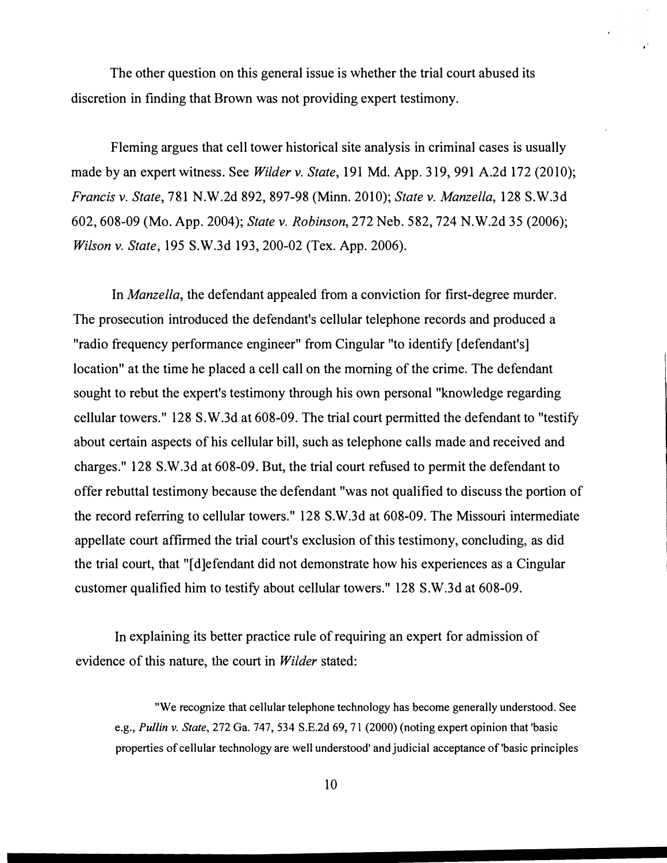The other question on this general issue is whether the trial court abused its discretion in finding that Brown was not providing expert testimony.

Fleming argues that cell tower historical site analysis in criminal cases is usually made by an expert witness. See *Wilder v. State*, 191 Md. App. 319, 991 A.2d 172 (2010); Francis v. State, 781 N.W.2d 892, 897-98 (Minn. 2010); State v. Manzella, 1 28 S.W.3d 602, 608-09 (Mo. App. 2004); State v. Robinson, 272 Neb. 582, 724 N.W.2d 35 (2006); Wilson v. State, 195 S.W.3d 193, 200-02 (Tex. App. 2006).

In Manzella, the defendant appealed from a conviction for first-degree murder. The prosecution introduced the defendant's cellular telephone records and produced a "radio frequency performance engineer" from Cingular "to identify [defendant's] location" at the time he placed a cell call on the morning of the crime. The defendant sought to rebut the expert's testimony through his own personal "knowledge regarding cellular towers." 128 S.W.3d at 608-09. The trial court permitted the defendant to "testify about certain aspects of his cellular bill, such as telephone calls made and received and charges." 128 S.W.3d at 608-09. But, the trial court refused to permit the defendant to offer rebuttal testimony because the defendant ''was not qualified to discuss the portion of the record referring to cellular towers." 128 S.W.3d at 608-09. The Missouri intermediate appellate court affirmed the trial court's exclusion of this testimony, concluding, as did the trial court, that "[ d]efendant did not demonstrate how his experiences as a Cingular customer qualified him to testify about cellular towers." 128 S.W.3d at 608-09.

In explaining its better practice rule of requiring an expert for admission of evidence of this nature, the court in *Wilder* stated:

"We recognize that cellular telephone technology has become generally understood. See e.g., Pullin v. State, 272 Ga. 747, 534 S.E.2d 69, 71 (2000) (noting expert opinion that 'basic properties of cellular technology are well understood' and judicial acceptance of 'basic principles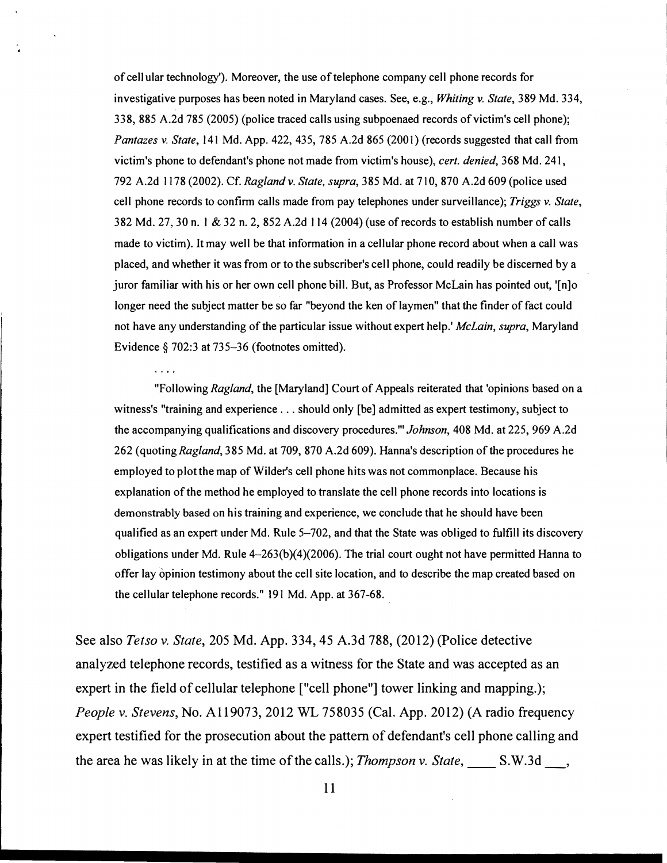of cel1ular technology'). Moreover, the use of telephone company cell phone records for investigative purposes has been noted in Maryland cases. See, e.g., Whiting v. State, 389 Md. 334, 338, 885 A.2d 785 (2005) (police traced calls using subpoenaed records of victim's cell phone); Pantazes v. State, 141 Md. App. 422, 435, 785 A.2d 865 (2001) (records suggested that call from victim's phone to defendant's phone not made from victim's house), cert. denied, 368 Md. 241, 792 A.2d 1178 (2002). Cf. Ragland v. State, supra, 385 Md. at 710, 870 A.2d 609 (police used cell phone records to confirm calls made from pay telephones under surveillance); Triggs v. State, 382 Md. 27,30 n. 1 & 32 n. 2, 852 A.2d 1 14 (2004) (use of records to establish number of calls made to victim). It may well be that information in a cellular phone record about when a call was placed, and whether it was from or to the subscriber's cell phone, could readily be discerned by a juror familiar with his or her own cell phone bill. But, as Professor McLain has pointed out, '[n]o longer need the subject matter be so far "beyond the ken of laymen" that the finder of fact could not have any understanding of the particular issue without expert help.' McLain, supra, Maryland Evidence § 702:3 at 735-36 (footnotes omitted).

a sa s

"Following Ragland, the [Maryland] Court of Appeals reiterated that 'opinions based on a witness's "training and experience ... should only [be] admitted as expert testimony, subject to the accompanying qualifications and discovery procedures.'" Johnson, 408 Md. at 225, 969 A.2d 262 (quoting Ragland, 385 Md. at 709, 870 A.2d 609). Hanna's description of the procedures he employed to plot the map of Wilder's cell phone hits was not commonplace. Because his explanation of the method he employed to translate the cell phone records into locations is demonstrably based on his training and experience, we conclude that he should have been qualified as an expert under Md. Rule 5-702, and that the State was obliged to fulfill its discovery obligations under Md. Rule 4-263(b)(4)(2006). The trial court ought not have permitted Hanna to offer lay opinion testimony about the cell site location, and to describe the map created based on the cellular telephone records." 191 Md. App. at 367-68.

See also Tetso v. State, 205 Md. App. 334, 45 A.3d 788, (2012) (Police detective analyzed telephone records, testified as a witness for the State and was accepted as an expert in the field of cellular telephone ["cell phone"] tower linking and mapping.); People v. Stevens, No. A119073, 2012 WL 758035 (Cal. App. 2012) (A radio frequency expert testified for the prosecution about the pattern of defendant's cell phone calling and the area he was likely in at the time of the calls.); *Thompson v. State*, S.W.3d.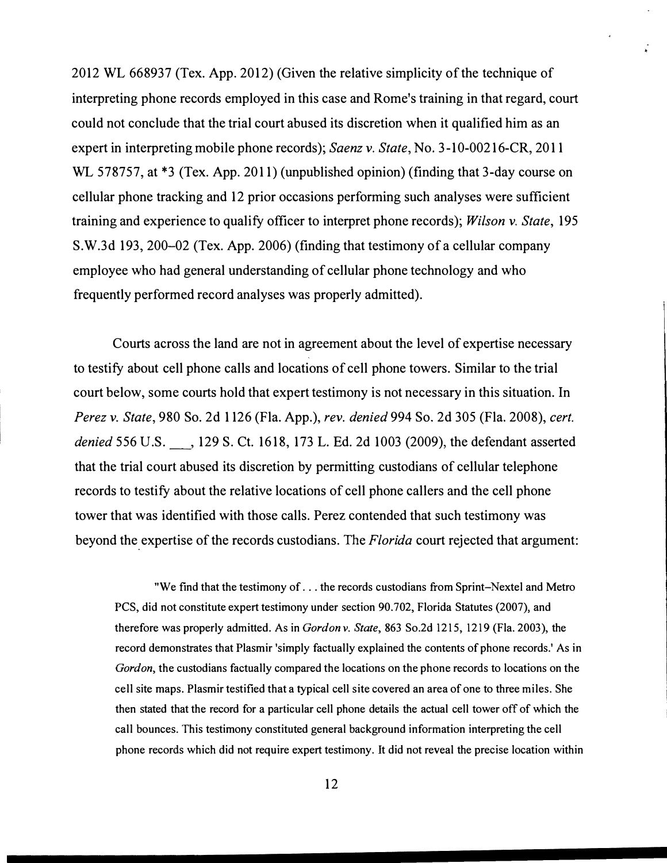2012 WL 668937 (Tex. App. 2012) (Given the relative simplicity of the technique of interpreting phone records employed in this case and Rome's training in that regard, court could not conclude that the trial court abused its discretion when it qualified him as an expert in interpreting mobile phone records); Saenz v. State, No. 3-10-00216-CR, 2011 WL 578757, at \*3 (Tex. App. 2011) (unpublished opinion) (finding that 3-day course on cellular phone tracking and 12 prior occasions performing such analyses were sufficient training and experience to qualify officer to interpret phone records); Wilson v. State, 195 S.W.3d 193, 200–02 (Tex. App. 2006) (finding that testimony of a cellular company employee who had general understanding of cellular phone technology and who frequently performed record analyses was properly admitted).

Courts across the land are not in agreement about the level of expertise necessary to testify about cell phone calls and locations of cell phone towers. Similar to the trial court below, some courts hold that expert testimony is not necessary in this situation. In Perez v. State, 980 So. 2d 1 126 (Fla. App.), rev. denied 994 So. 2d 305 (Fla. 2008), cert. denied 556 U.S. 129 S. Ct. 1618, 173 L. Ed. 2d 1003 (2009), the defendant asserted that the trial court abused its discretion by permitting custodians of cellular telephone records to testify about the relative locations of cell phone callers and the cell phone tower that was identified with those calls. Perez contended that such testimony was beyond the expertise of the records custodians. The Florida court rejected that argument:

"We find that the testimony of . .. the records custodians from Sprint-Nextel and Metro PCS, did not constitute expert testimony under section 90.702, Florida Statutes (2007), and therefore was properly admitted. As in Gordon v. State, 863 So.2d 1215, 1219 (Fla. 2003), the record demonstrates that Plasmir 'simply factually explained the contents of phone records.' As in Gordon, the custodians factually compared the locations on the phone records to locations on the cell site maps. Plasmir testified that a typical cell site covered an area of one to three miles. She then stated that the record for a particular cell phone details the actual cell tower off of which the call bounces. This testimony constituted general background information interpreting the cell phone records which did not require expert testimony. It did not reveal the precise location within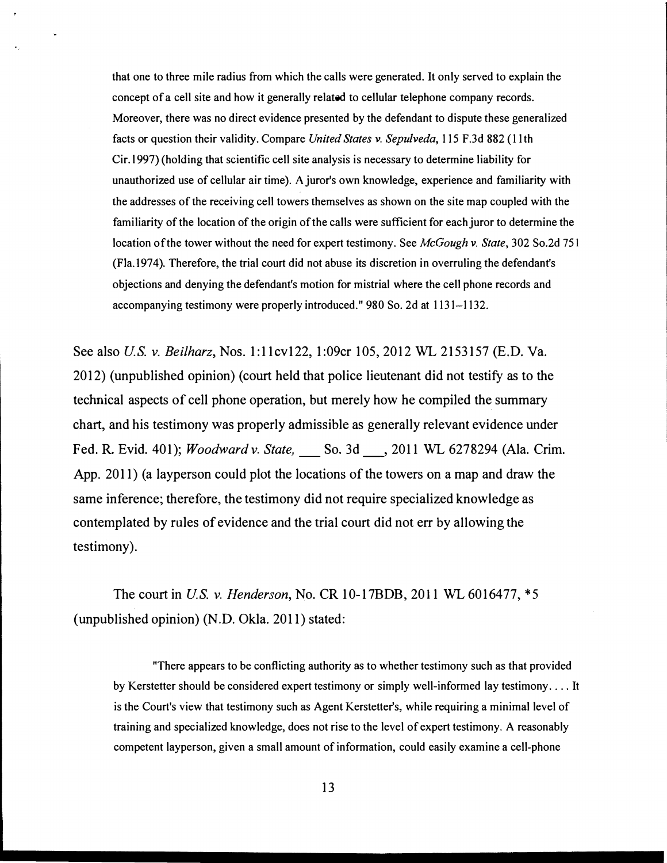that one to three mile radius from which the calls were generated. It only served to explain the concept of a cell site and how it generally related to cellular telephone company records. Moreover, there was no direct evidence presented by the defendant to dispute these generalized facts or question their validity. Compare United States v. Sepulveda, 115 F.3d 882 (11th Cir.l997) (holding that scientific cell site analysis is necessary to determine liability for unauthorized use of cellular air time). A juror's own knowledge, experience and familiarity with the addresses of the receiving cell towers themselves as shown on the site map coupled with the familiarity of the location of the origin of the calls were sufficient for each juror to determine the location of the tower without the need for expert testimony. See McGough v. State, 302 So.2d 751 (Fia.l974). Therefore, the trial court did not abuse its discretion in overruling the defendant's objections and denying the defendant's motion for mistrial where the cell phone records and accompanying testimony were properly introduced." 980 So. 2d at 1131-1132.

See also *U.S. v. Beilharz*, Nos. 1:11cv122, 1:09cr 105, 2012 WL 2153157 (E.D. Va. 2012) (unpublished opinion) (court held that police lieutenant did not testify as to the technical aspects of cell phone operation, but merely how he compiled the summary chart, and his testimony was properly admissible as generally relevant evidence under Fed. R. Evid. 401); *Woodward v. State*, \_\_\_ So. 3d \_\_\_, 2011 WL 6278294 (Ala. Crim. App. 2011) (a layperson could plot the locations of the towers on a map and draw the same inference; therefore, the testimony did not require specialized knowledge as contemplated by rules of evidence and the trial court did not err by allowing the testimony).

The court in *U.S. v. Henderson*, No. CR 10-17BDB, 2011 WL 6016477, \*5 (unpublished opinion) (N.D. Okla. 2011) stated:

"There appears to be conflicting authority as to whether testimony such as that provided by Kerstetter should be considered expert testimony or simply well-informed lay testimony .... It is the Court's view that testimony such as Agent Kerstetter's, while requiring a minimal level of training and specialized knowledge, does not rise to the level of expert testimony. A reasonably competent layperson, given a small amount of information, could easily examine a cell-phone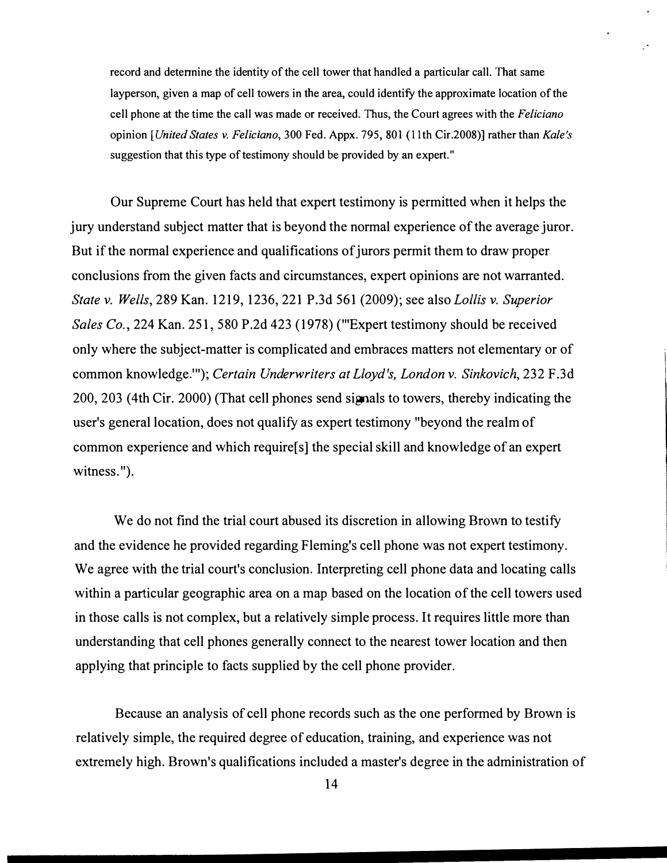record and detennine the identity of the cell tower that handled a particular call. That same layperson, given a map of cell towers in the area, could identify the approximate location of the cell phone at the time the call was made or received. Thus, the Court agrees with the Feliciano opinion [United States v. Feliciano, 300 Fed. Appx. 795, 801 (11th Cir.2008)] rather than Kale's suggestion that this type of testimony should be provided by an expert."

Our Supreme Court has held that expert testimony is permitted when it helps the jury understand subject matter that is beyond the normal experience of the average juror. But if the normal experience and qualifications of jurors permit them to draw proper conclusions from the given facts and circumstances, expert opinions are not warranted. State v. Wells, 289 Kan. 1219, 1236, 221 P.3d 561 (2009); see also Lollis v. Superior Sales Co., 224 Kan. 251, 580 P.2d 423 (1978) ("Expert testimony should be received only where the subject-matter is complicated and embraces matters not elementary or of common knowledge."'); Certain Underwriters at Lloyd's, London v. Sinkovich, 232 F.3d 200, 203 (4th Cir. 2000) (That cell phones send signals to towers, thereby indicating the user's general location, does not qualify as expert testimony "beyond the realm of common experience and which require[s] the special skill and knowledge of an expert witness.").

We do not find the trial court abused its discretion in allowing Brown to testify and the evidence he provided regarding Fleming's cell phone was not expert testimony. We agree with the trial court's conclusion. Interpreting cell phone data and locating calls within a particular geographic area on a map based on the location of the cell towers used in those calls is not complex, but a relatively simple process. It requires little more than understanding that cell phones generally connect to the nearest tower location and then applying that principle to facts supplied by the cell phone provider.

Because an analysis of cell phone records such as the one performed by Brown is relatively simple, the required degree of education, training, and experience was not extremely high. Brown's qualifications included a master's degree in the administration of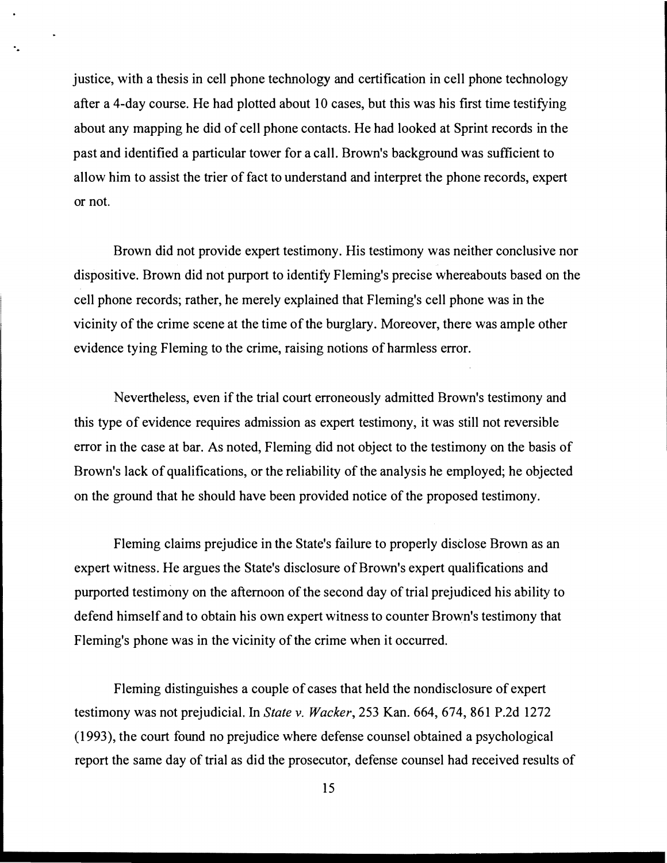justice, with a thesis in cell phone technology and certification in cell phone technology after a 4-day course. He had plotted about  $10$  cases, but this was his first time testifying about any mapping he did of cell phone contacts. He had looked at Sprint records in the past and identified a particular tower for a call. Brown's background was sufficient to allow him to assist the trier of fact to understand and interpret the phone records, expert or not.

..

Brown did not provide expert testimony. His testimony was neither conclusive nor dispositive. Brown did not purport to identity Fleming's precise whereabouts based on the cell phone records; rather, he merely explained that Fleming's cell phone was in the vicinity of the crime scene at the time of the burglary. Moreover, there was ample other evidence tying Fleming to the crime, raising notions of harmless error.

Nevertheless, even if the trial court erroneously admitted Brown's testimony and this type of evidence requires admission as expert testimony, it was still not reversible error in the case at bar. As noted, Fleming did not object to the testimony on the basis of Brown's lack of qualifications, or the reliability of the analysis he employed; he objected on the ground that he should have been provided notice of the proposed testimony.

Fleming claims prejudice in the State's failure to properly disClose Brown as an expert witness. He argues the State's disclosure of Brown's expert qualifications and purported testimony on the afternoon of the second day of trial prejudiced his ability to defend himself and to obtain his own expert witness to counter Brown's testimony that Fleming's phone was in the vicinity of the crime when it occurred.

Fleming distinguishes a couple of cases that held the nondisclosure of expert testimony was not prejudicial. In State v. Wacker, 253 Kan. 664, 674, 861 P.2d 1272 (1993), the court found no prejudice where defense counsel obtained a psychological report the same day of trial as did the prosecutor, defense counsel had received results of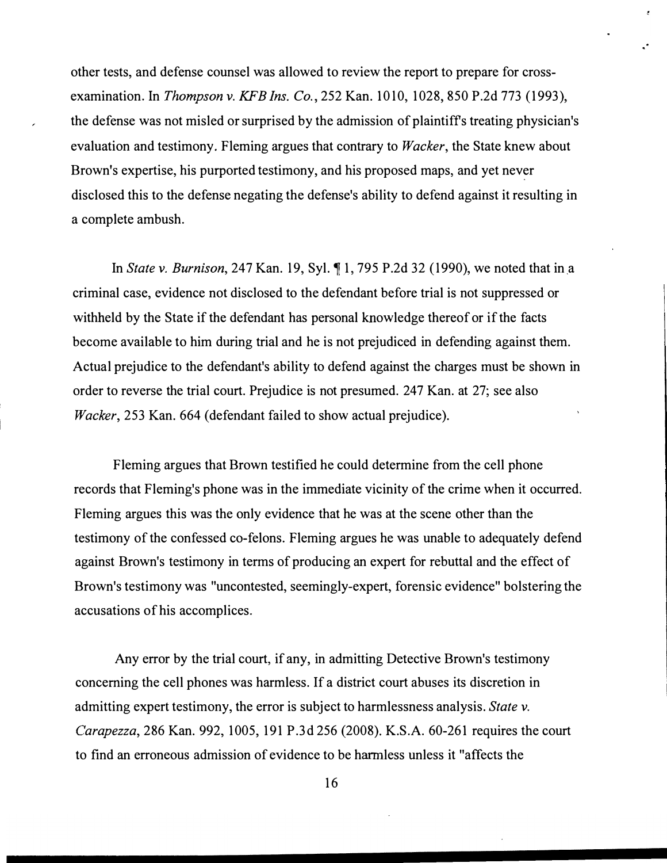other tests, and defense counsel was allowed to review the report to prepare for crossexamination. In Thompson v. KFB Ins. Co., 252 Kan. 1010, 1028, 850 P.2d 773 (1993), the defense was not misled or surprised by the admission of plaintiffs treating physician's evaluation and testimony. Fleming argues that contrary to *Wacker*, the State knew about Brown's expertise, his purported testimony, and his proposed maps, and yet never disclosed this to the defense negating the defense's ability to defend against it resulting in a complete ambush.

..

In State v. Burnison, 247 Kan. 19, Syl. � 1, 795 P.2d 32 (1990), we noted that in a criminal case, evidence not disclosed to the defendant before trial is not suppressed or withheld by the State if the defendant has personal knowledge thereof or if the facts become available to him during trial and he is not prejudiced in defending against them. Actual prejudice to the defendant's ability to defend against the charges must be shown in order to reverse the trial court. Prejudice is not presumed. 247 Kan. at 27; see also Wacker, 253 Kan. 664 (defendant failed to show actual prejudice).

Fleming argues that Brown testified he could determine from the cell phone records that Fleming's phone was in the immediate vicinity of the crime when it occurred. Fleming argues this was the only evidence that he was at the scene other than the testimony of the confessed co-felons. Fleming argues he was unable to adequately defend against Brown's testimony in terms of producing an expert for rebuttal and the effect of Brown's testimony was "uncontested, seemingly-expert, forensic evidence" bolstering the accusations of his accomplices.

Any error by the trial court, if any, in admitting Detective Brown's testimony concerning the cell phones was harmless. If a district court abuses its discretion in admitting expert testimony, the error is subject to harmlessness analysis. State v. Carapezza, 286 Kan. 992, 1005, 191 P.3d 256 (2008). K.S.A. 60-261 requires the court to find an erroneous admission of evidence to be harmless unless it "affects the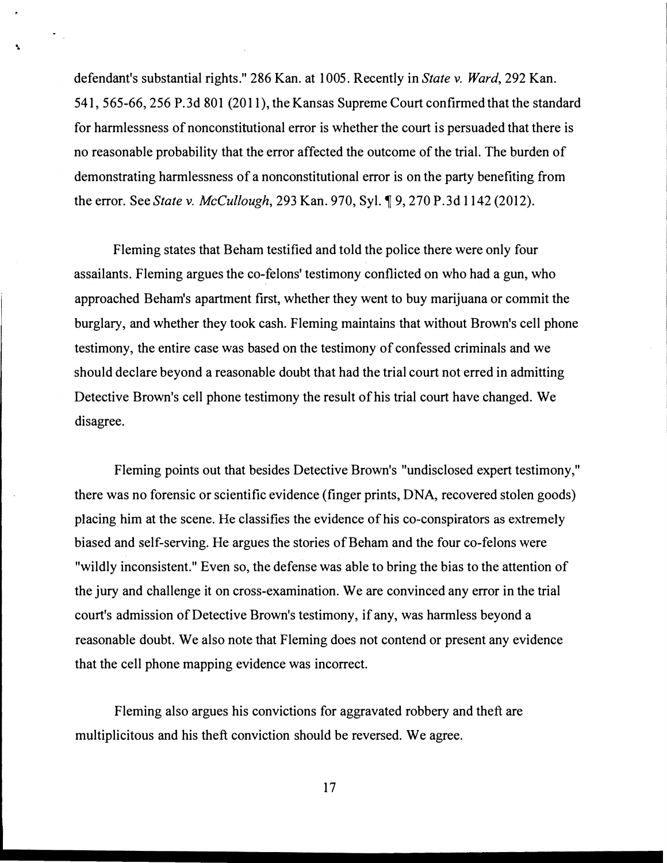defendant's substantial rights." 286 Kan. at 1005. Recently in State v. Ward, 292 Kan. 541, 565-66, 256 P.3d 801 (2011), the Kansas Supreme Court confirmed that the standard for harmlessness of nonconstitutional error is whether the court is persuaded that there is no reasonable probability that the error affected the outcome of the trial. The burden of demonstrating harmlessness of a nonconstitutional error is on the party benefiting from the error. See State v. McCullough, 293 Kan. 970, Syl. ¶ 9, 270 P.3d 1142 (2012).

 $\tilde{\gamma}_{\rm eff}$ 

Fleming states that Beham testified and told the police there were only four assailants. Fleming argues the co-felons' testimony conflicted on who had a gun, who approached Beham's apartment first, whether they went to buy marijuana or commit the burglary, and whether they took cash. Fleming maintains that without Brown's cell phone testimony, the entire case was based on the testimony of confessed criminals and we should declare beyond a reasonable doubt that had the trial court not erred in admitting Detective Brown's cell phone testimony the result of his trial court have changed. We disagree.

Fleming points out that besides Detective Brown's "undisclosed expert testimony," there was no forensic or scientific evidence (finger prints, DNA, recovered stolen goods) placing him at the scene. He classifies the evidence of his co-conspirators as extremely biased and self-serving. He argues the stories of Beham and the four co-felons were "wildly inconsistent." Even so, the defense was able to bring the bias to the attention of the jury and challenge it on cross-examination. We are convinced any error in the trial court's admission of Detective Brown's testimony, if any, was harmless beyond a reasonable doubt. We also note that Fleming does not contend or present any evidence that the cell phone mapping evidence was incorrect.

Fleming also argues his convictions for aggravated robbery and theft are multiplicitous and his theft conviction should be reversed. We agree.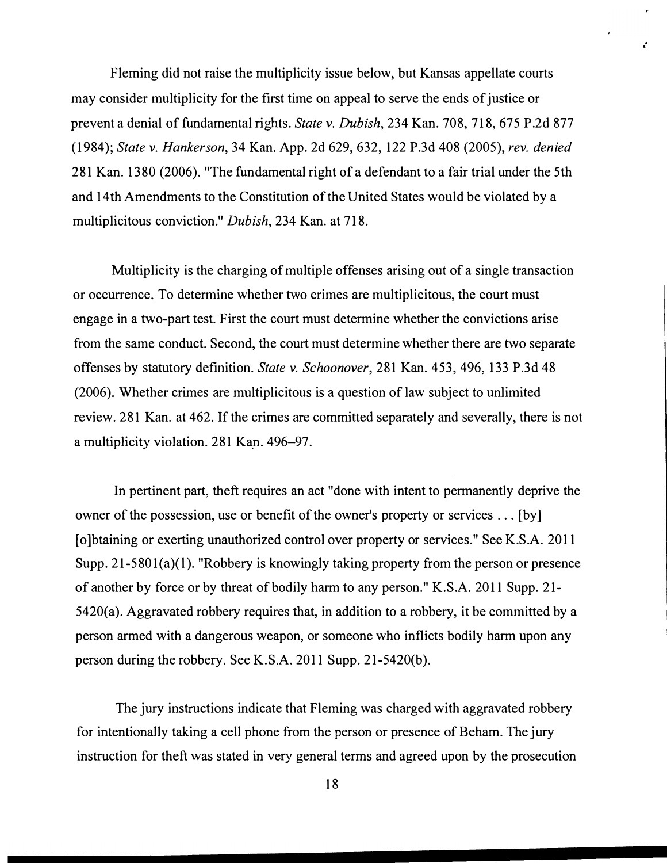Fleming did not raise the multiplicity issue below, but Kansas appellate courts may consider multiplicity for the first time on appeal to serve the ends of justice or prevent a denial of fundamental rights. State v. Dubish, 234 Kan. 708, 718, 675 P.2d 877 (1984); State v. Hankerson, 34 Kan. App. 2d 629, 632, 122 P.3d 408 (2005), rev. denied 281 Kan. 13 80 (2006). "The fundamental right of a defendant to a fair trial under the 5th and 14th Amendments to the Constitution of the United States would be violated by a multiplicitous conviction." Dubish, 234 Kan. at 718.

 $\mathbf{f}$ 

Multiplicity is the charging of multiple offenses arising out of a single transaction or occurrence. To determine whether two crimes are multiplicitous, the court must engage in a two-part test. First the court must determine whether the convictions arise from the same conduct. Second, the court must determine whether there are two separate offenses by statutory definition. State v. Schoonover, 281 Kan. 453, 496, 133 P.3d 48 (2006). Whether crimes are multiplicitous is a question of law subject to unlimited review. 281 Kan. at 462. If the crimes are committed separately and severally, there is not a multiplicity violation. 281 Kan. 496-97.

In pertinent part, theft requires an act "done with intent to permanently deprive the owner of the possession, use or benefit of the owner's property or services ... [by] [ o ]btaining or exerting unauthorized control over property or services." See K.S.A. 2011 Supp. 21-5801(a)(1). "Robbery is knowingly taking property from the person or presence of another by force or by threat of bodily harm to any person." K.S.A. 2011 Supp. 21- 5420(a). Aggravated robbery requires that, in addition to a robbery, it be committed by a person armed with a dangerous weapon, or someone who inflicts bodily harm upon any person during the robbery. See K.S.A. 2011 Supp. 21-5420(b).

The jury instructions indicate that Fleming was charged with aggravated robbery for intentionally taking a cell phone from the person or presence of Beham. The jury instruction for theft was stated in very general terms and agreed upon by the prosecution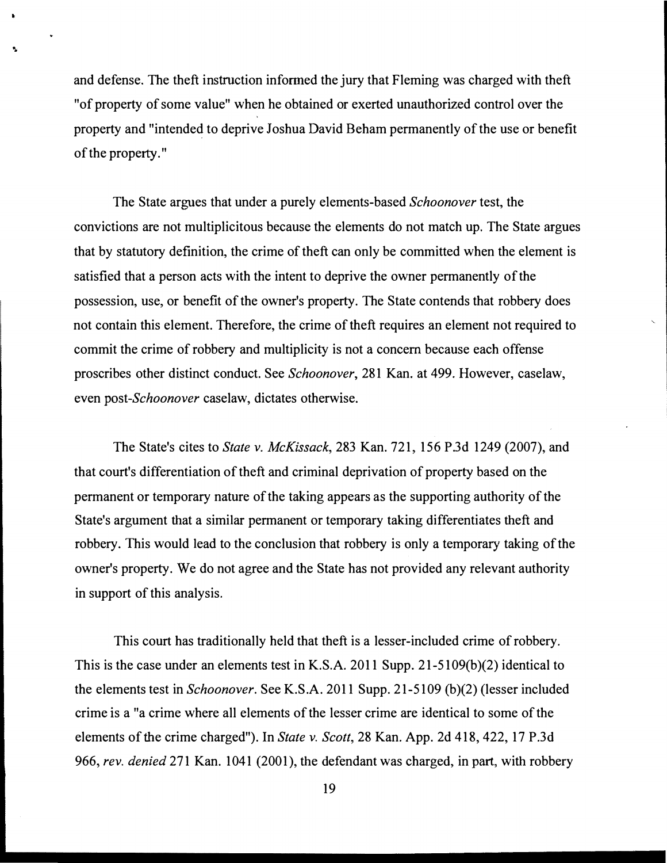and defense. The theft instruction informed the jury that Fleming was charged with theft "of property of some value" when he obtained or exerted unauthorized control over the property and "intended to deprive Joshua David Beham permanently of the use or benefit of the property."

The State argues that under a purely elements-based Schoonover test, the convictions are not multiplicitous because the elements do not match up. The State argues that by statutory definition, the crime of theft can only be committed when the element is satisfied that a person acts with the intent to deprive the owner permanently of the possession, use, or benefit of the owner's property. The State contends that robbery does not contain this element. Therefore, the crime of theft requires an element not required to commit the crime of robbery and multiplicity is not a concern because each offense proscribes other distinct conduct. See Schoonover, 281 Kan. at 499. However, caselaw, even post-Schoonover caselaw, dictates otherwise.

The State's cites to State v. McKissack, 283 Kan. 721, 156 P.3d 1249 (2007), and that court's differentiation of theft and criminal deprivation of property based on the permanent or temporary nature of the taking appears as the supporting authority of the State's argument that a similar permanent or temporary taking differentiates theft and robbery. This would lead to the conclusion that robbery is only a temporary taking of the owner's property. We do not agree and the State has not provided any relevant authority in support of this analysis.

This court has traditionally held that theft is a lesser-included crime of robbery. This is the case under an elements test in K.S.A. 2011 Supp. 21-5109(b)(2) identical to the elements test in Schoonover. See K.S.A. 2011 Supp. 21-5109 (b)(2) (lesser included crime is a "a crime where all elements of the lesser crime are identical to some of the elements of the crime charged"). In State v. Scott, 28 Kan. App. 2d 418, 422, 17 P.3d 966, rev. denied 271 Kan. 1041 (2001), the defendant was charged, in part, with robbery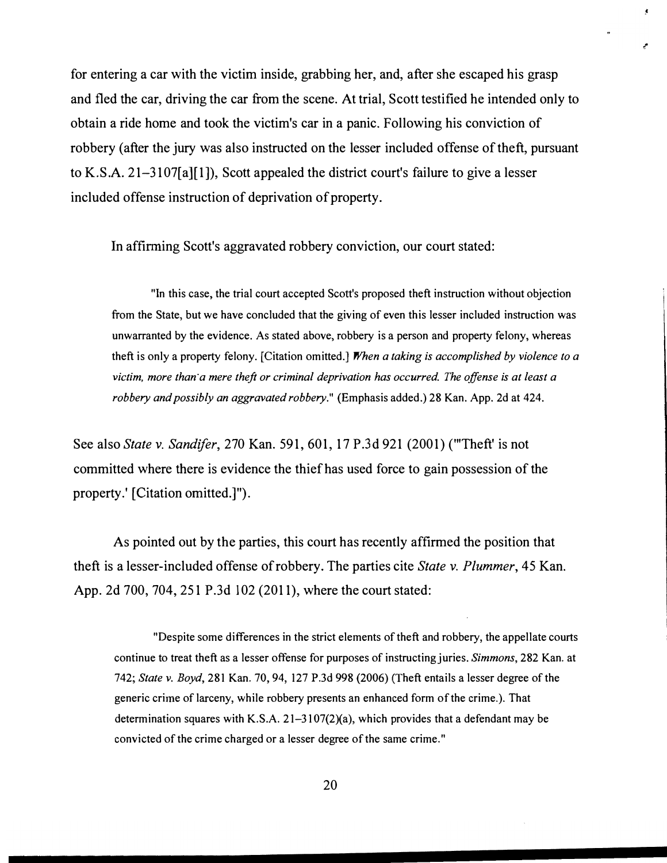for entering a car with the victim inside, grabbing her, and, after she escaped his grasp and fled the car, driving the car from the scene. At trial, Scott testified he intended only to obtain a ride home and took the victim's car in a panic. Following his conviction of robbery (after the jury was also instructed on the lesser included offense of theft, pursuant to K.S.A. 21-3107[a][1]), Scott appealed the district court's failure to give a lesser included offense instruction of deprivation of property.

In affirming Scott's aggravated robbery conviction, our court stated:

"In this case, the trial court accepted Scott's proposed theft instruction without objection from the State, but we have concluded that the giving of even this lesser included instruction was unwarranted by the evidence. As stated above, robbery is a person and property felony, whereas theft is only a property felony. [Citation omitted.] When a taking is accomplished by violence to a victim, more than a mere theft or criminal deprivation has occurred. The offense is at least a robbery and possibly an aggravated robbery." (Emphasis added.) 28 Kan. App. 2d at 424.

See also State v. Sandifer, 270 Kan. 591, 601, 17 P.3d 921 (2001) ("Theft' is not committed where there is evidence the thief has used force to gain possession of the property.' [Citation omitted.]").

As pointed out by the parties, this court has recently affirmed the position that theft is a lesser-included offense of robbery. The parties cite State v. Plummer, 45 Kan. App. 2d 700, 704, 251 P.3d 102 (2011), where the court stated:

"Despite some differences in the strict elements of theft and robbery, the appellate courts continue to treat theft as a lesser offense for purposes of instructing juries. Simmons, 282 Kan. at 742; State v. Boyd, 281 Kan. 70, 94, 127 P.3d 998 (2006) (Theft entails a lesser degree of the generic crime of larceny, while robbery presents an enhanced form of the crime.). That determination squares with K.S.A. 21-3107(2)(a), which provides that a defendant may be convicted of the crime charged or a lesser degree of the same crime."